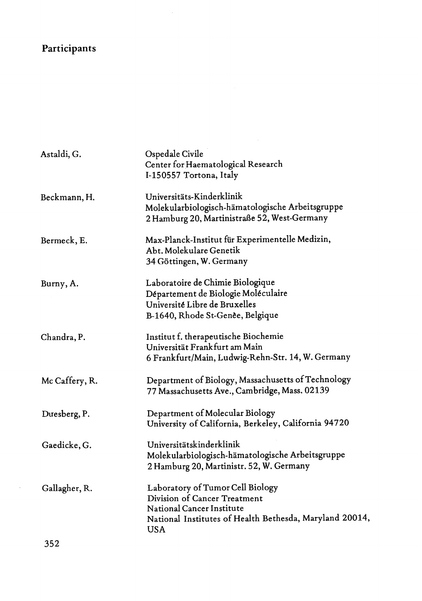## **Participants**

| Astaldi, G.    | Ospedale Civile<br>Center for Haematological Research<br>I-150557 Tortona, Italy                                                                                       |
|----------------|------------------------------------------------------------------------------------------------------------------------------------------------------------------------|
| Beckmann, H.   | Universitäts-Kinderklinik<br>Molekularbiologisch-hämatologische Arbeitsgruppe<br>2 Hamburg 20, Martinistraße 52, West-Germany                                          |
| Bermeck, E.    | Max-Planck-Institut für Experimentelle Medizin,<br>Abt. Molekulare Genetik<br>34 Göttingen, W. Germany                                                                 |
| Burny, A.      | Laboratoire de Chimie Biologique<br>Département de Biologie Moléculaire<br>Université Libre de Bruxelles<br>B-1640, Rhode St-Genèe, Belgique                           |
| Chandra, P.    | Institut f. therapeutische Biochemie<br>Universität Frankfurt am Main<br>6 Frankfurt/Main, Ludwig-Rehn-Str. 14, W. Germany                                             |
| Mc Caffery, R. | Department of Biology, Massachusetts of Technology<br>77 Massachusetts Ave., Cambridge, Mass. 02139                                                                    |
| Duesberg, P.   | Department of Molecular Biology<br>University of California, Berkeley, California 94720                                                                                |
| Gaedicke, G.   | Universitätskinderklinik<br>Molekularbiologisch-hämatologische Arbeitsgruppe<br>2 Hamburg 20, Martinistr. 52, W. Germany                                               |
| Gallagher, R.  | Laboratory of Tumor Cell Biology<br>Division of Cancer Treatment<br>National Cancer Institute<br>National Institutes of Health Bethesda, Maryland 20014,<br><b>USA</b> |

 $\frac{1}{2} \sum_{i=1}^{n} \frac{1}{2} \sum_{j=1}^{n} \frac{1}{2} \sum_{j=1}^{n} \frac{1}{2} \sum_{j=1}^{n} \frac{1}{2} \sum_{j=1}^{n} \frac{1}{2} \sum_{j=1}^{n} \frac{1}{2} \sum_{j=1}^{n} \frac{1}{2} \sum_{j=1}^{n} \frac{1}{2} \sum_{j=1}^{n} \frac{1}{2} \sum_{j=1}^{n} \frac{1}{2} \sum_{j=1}^{n} \frac{1}{2} \sum_{j=1}^{n} \frac{1}{2} \sum_{j=1}^{n$ 

352

 $\hat{\boldsymbol{\theta}}$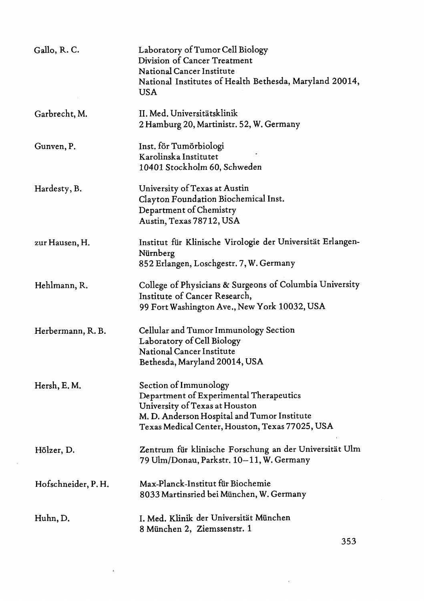| Gallo, R.C.        | Laboratory of Tumor Cell Biology<br>Division of Cancer Treatment<br>National Cancer Institute<br>National Institutes of Health Bethesda, Maryland 20014,<br><b>USA</b>                               |
|--------------------|------------------------------------------------------------------------------------------------------------------------------------------------------------------------------------------------------|
| Garbrecht, M.      | II. Med. Universitätsklinik<br>2 Hamburg 20, Martinistr. 52, W. Germany                                                                                                                              |
| Gunven, P.         | Inst. för Tumörbiologi<br>Karolinska Institutet<br>10401 Stockholm 60, Schweden                                                                                                                      |
| Hardesty, B.       | University of Texas at Austin<br>Clayton Foundation Biochemical Inst.<br>Department of Chemistry<br>Austin, Texas 78712, USA                                                                         |
| zur Hausen, H.     | Institut für Klinische Virologie der Universität Erlangen-<br>Nürnberg<br>852 Erlangen, Loschgestr. 7, W. Germany                                                                                    |
| Hehlmann, R.       | College of Physicians & Surgeons of Columbia University<br>Institute of Cancer Research,<br>99 Fort Washington Ave., New York 10032, USA                                                             |
| Herbermann, R. B.  | Cellular and Tumor Immunology Section<br>Laboratory of Cell Biology<br><b>National Cancer Institute</b><br>Bethesda, Maryland 20014, USA                                                             |
| Hersh, E.M.        | Section of Immunology<br>Department of Experimental Therapeutics<br>University of Texas at Houston<br>M. D. Anderson Hospital and Tumor Institute<br>Texas Medical Center, Houston, Texas 77025, USA |
| Hölzer, D.         | Zentrum für klinische Forschung an der Universität Ulm<br>79 Ulm/Donau, Parkstr. 10–11, W. Germany                                                                                                   |
| Hofschneider, P.H. | Max-Planck-Institut für Biochemie<br>8033 Martinsried bei München, W. Germany                                                                                                                        |
| Huhn, D.           | I. Med. Klinik der Universität München<br>8 München 2, Ziemssenstr. 1                                                                                                                                |

 $\bar{z}$ 

 $\bar{z}$ 

 $\bar{\lambda}$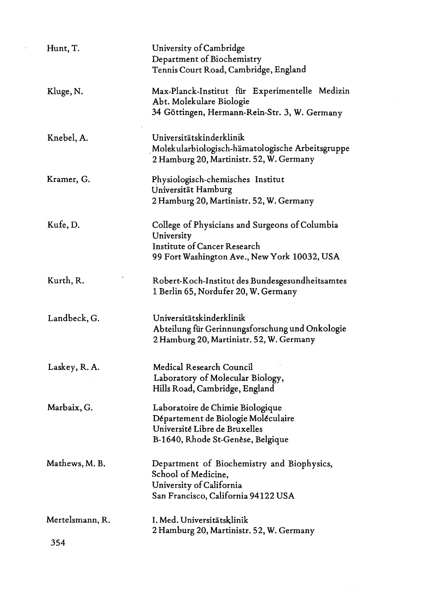| Hunt, T.               | University of Cambridge<br>Department of Biochemistry<br>Tennis Court Road, Cambridge, England                                                |
|------------------------|-----------------------------------------------------------------------------------------------------------------------------------------------|
| Kluge, N.              | Max-Planck-Institut für Experimentelle Medizin<br>Abt. Molekulare Biologie<br>34 Göttingen, Hermann-Rein-Str. 3, W. Germany                   |
| Knebel, A.             | Universitätskinderklinik<br>Molekularbiologisch-hämatologische Arbeitsgruppe<br>2 Hamburg 20, Martinistr. 52, W. Germany                      |
| Kramer, G.             | Physiologisch-chemisches Institut<br>Universität Hamburg<br>2 Hamburg 20, Martinistr. 52, W. Germany                                          |
| Kufe, D.               | College of Physicians and Surgeons of Columbia<br>University<br>Institute of Cancer Research<br>99 Fort Washington Ave., New York 10032, USA  |
| Kurth, R.              | Robert-Koch-Institut des Bundesgesundheitsamtes<br>1 Berlin 65, Nordufer 20, W. Germany                                                       |
| Landbeck, G.           | Universitätskinderklinik<br>Abteilung für Gerinnungsforschung und Onkologie<br>2 Hamburg 20, Martinistr. 52, W. Germany                       |
| Laskey, R. A.          | Medical Research Council<br>Laboratory of Molecular Biology,<br>Hills Road, Cambridge, England                                                |
| Marbaix, G.            | Laboratoire de Chimie Biologique<br>Département de Biologie Moléculaire<br>Université Libre de Bruxelles<br>B-1640, Rhode St-Genèse, Belgique |
| Mathews, M. B.         | Department of Biochemistry and Biophysics,<br>School of Medicine.<br>University of California<br>San Francisco, California 94122 USA          |
| Mertelsmann, R.<br>354 | I. Med. Universitätsklinik<br>2 Hamburg 20, Martinistr. 52, W. Germany                                                                        |

 $\alpha$ 

 $\frac{1}{2}$ 

 $\chi$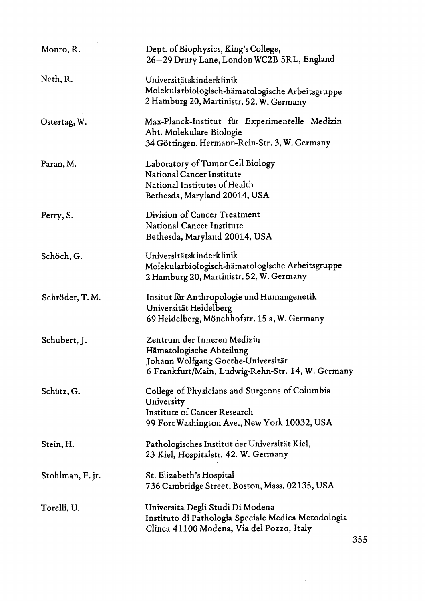| Monro, R.        | Dept. of Biophysics, King's College,<br>26–29 Drury Lane, London WC2B 5RL, England                                                                 |
|------------------|----------------------------------------------------------------------------------------------------------------------------------------------------|
| Neth, R.         | Universitätskinderklinik<br>Molekularbiologisch-hämatologische Arbeitsgruppe<br>2 Hamburg 20, Martinistr. 52, W. Germany                           |
| Ostertag, W.     | Max-Planck-Institut für Experimentelle Medizin<br>Abt. Molekulare Biologie<br>34 Göttingen, Hermann-Rein-Str. 3, W. Germany                        |
| Paran, M.        | Laboratory of Tumor Cell Biology<br><b>National Cancer Institute</b><br>National Institutes of Health<br>Bethesda, Maryland 20014, USA             |
| Perry, S.        | Division of Cancer Treatment<br><b>National Cancer Institute</b><br>Bethesda, Maryland 20014, USA                                                  |
| Schöch, G.       | Universitätskinderklinik<br>Molekularbiologisch-hämatologische Arbeitsgruppe<br>2 Hamburg 20, Martinistr. 52, W. Germany                           |
| Schröder, T.M.   | Insitut für Anthropologie und Humangenetik<br>Universität Heidelberg<br>69 Heidelberg, Mönchhofstr. 15 a, W. Germany                               |
| Schubert, J.     | Zentrum der Inneren Medizin<br>Hämatologische Abteilung<br>Johann Wolfgang Goethe-Universität<br>6 Frankfurt/Main, Ludwig-Rehn-Str. 14, W. Germany |
| Schütz, G.       | College of Physicians and Surgeons of Columbia<br>University<br>Institute of Cancer Research<br>99 Fort Washington Ave., New York 10032, USA       |
| Stein, H.        | Pathologisches Institut der Universität Kiel,<br>23 Kiel, Hospitalstr. 42. W. Germany                                                              |
| Stohlman, F. jr. | St. Elizabeth's Hospital<br>736 Cambridge Street, Boston, Mass. 02135, USA                                                                         |
| Torelli, U.      | Universita Degli Studi Di Modena<br>Instituto di Pathologia Speciale Medica Metodologia<br>Clinca 41100 Modena, Via del Pozzo, Italy               |